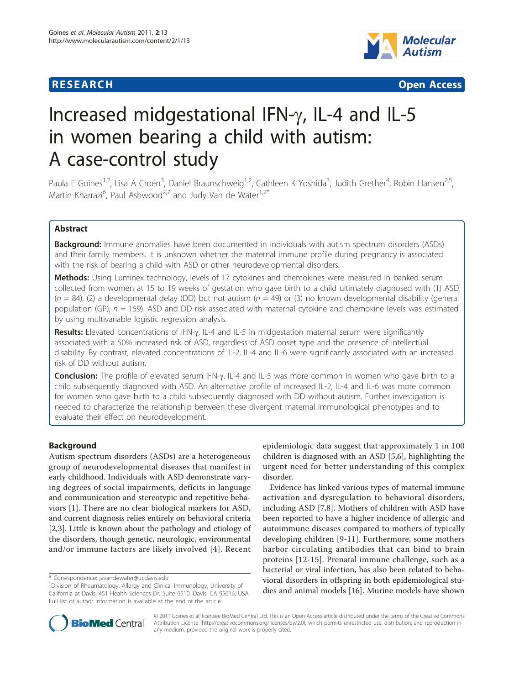



# Increased midgestational IFN- $\gamma$ , IL-4 and IL-5 in women bearing a child with autism: A case-control study

Paula E Goines<sup>1,2</sup>, Lisa A Croen<sup>3</sup>, Daniel Braunschweig<sup>1,2</sup>, Cathleen K Yoshida<sup>3</sup>, Judith Grether<sup>4</sup>, Robin Hansen<sup>2,5</sup>, Martin Kharrazi<sup>6</sup>, Paul Ashwood<sup>2,7</sup> and Judy Van de Water<sup>1,2\*</sup>

# Abstract

**Background:** Immune anomalies have been documented in individuals with autism spectrum disorders (ASDs) and their family members. It is unknown whether the maternal immune profile during pregnancy is associated with the risk of bearing a child with ASD or other neurodevelopmental disorders.

**Methods:** Using Luminex technology, levels of 17 cytokines and chemokines were measured in banked serum collected from women at 15 to 19 weeks of gestation who gave birth to a child ultimately diagnosed with (1) ASD  $(n = 84)$ , (2) a developmental delay (DD) but not autism ( $n = 49$ ) or (3) no known developmental disability (general population (GP);  $n = 159$ ). ASD and DD risk associated with maternal cytokine and chemokine levels was estimated by using multivariable logistic regression analysis.

Results: Elevated concentrations of IFN- $\gamma$ , IL-4 and IL-5 in midgestation maternal serum were significantly associated with a 50% increased risk of ASD, regardless of ASD onset type and the presence of intellectual disability. By contrast, elevated concentrations of IL-2, IL-4 and IL-6 were significantly associated with an increased risk of DD without autism.

**Conclusion:** The profile of elevated serum IFN-y, IL-4 and IL-5 was more common in women who gave birth to a child subsequently diagnosed with ASD. An alternative profile of increased IL-2, IL-4 and IL-6 was more common for women who gave birth to a child subsequently diagnosed with DD without autism. Further investigation is needed to characterize the relationship between these divergent maternal immunological phenotypes and to evaluate their effect on neurodevelopment.

# Background

Autism spectrum disorders (ASDs) are a heterogeneous group of neurodevelopmental diseases that manifest in early childhood. Individuals with ASD demonstrate varying degrees of social impairments, deficits in language and communication and stereotypic and repetitive behaviors [[1\]](#page-9-0). There are no clear biological markers for ASD, and current diagnosis relies entirely on behavioral criteria [[2,3](#page-9-0)]. Little is known about the pathology and etiology of the disorders, though genetic, neurologic, environmental and/or immune factors are likely involved [[4](#page-9-0)]. Recent

epidemiologic data suggest that approximately 1 in 100 children is diagnosed with an ASD [\[5,6](#page-9-0)], highlighting the urgent need for better understanding of this complex disorder.

Evidence has linked various types of maternal immune activation and dysregulation to behavioral disorders, including ASD [\[7,8](#page-9-0)]. Mothers of children with ASD have been reported to have a higher incidence of allergic and autoimmune diseases compared to mothers of typically developing children [[9-11](#page-9-0)]. Furthermore, some mothers harbor circulating antibodies that can bind to brain proteins [[12](#page-9-0)-[15](#page-9-0)]. Prenatal immune challenge, such as a bacterial or viral infection, has also been related to behavioral disorders in offspring in both epidemiological studies and animal models [\[16\]](#page-9-0). Murine models have shown



© 2011 Goines et al; licensee BioMed Central Ltd. This is an Open Access article distributed under the terms of the Creative Commons Attribution License [\(http://creativecommons.org/licenses/by/2.0](http://creativecommons.org/licenses/by/2.0)), which permits unrestricted use, distribution, and reproduction in any medium, provided the original work is properly cited.

<sup>\*</sup> Correspondence: [javandewater@ucdavis.edu](mailto:javandewater@ucdavis.edu)

<sup>&</sup>lt;sup>1</sup> Division of Rheumatology, Allergy and Clinical Immunology, University of California at Davis, 451 Health Sciences Dr. Suite 6510, Davis, CA 95616, USA Full list of author information is available at the end of the article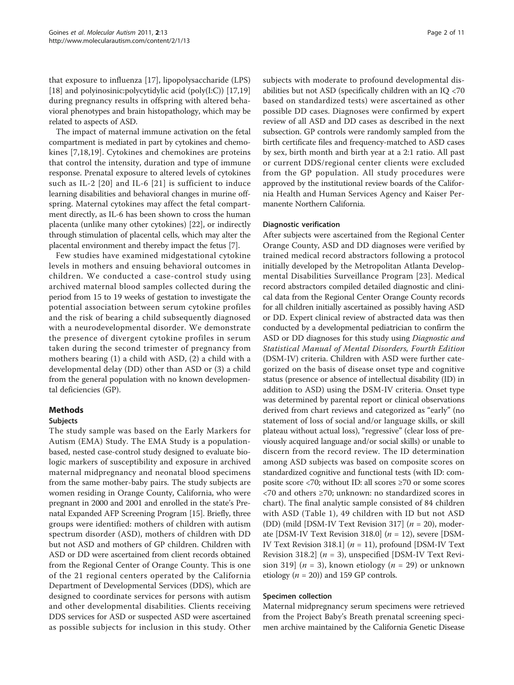that exposure to influenza [[17\]](#page-9-0), lipopolysaccharide (LPS) [[18\]](#page-10-0) and polyinosinic: polycytidylic acid (poly(I:C)) [[17](#page-9-0),[19](#page-10-0)] during pregnancy results in offspring with altered behavioral phenotypes and brain histopathology, which may be related to aspects of ASD.

The impact of maternal immune activation on the fetal compartment is mediated in part by cytokines and chemokines [[7](#page-9-0)[,18](#page-10-0),[19\]](#page-10-0). Cytokines and chemokines are proteins that control the intensity, duration and type of immune response. Prenatal exposure to altered levels of cytokines such as IL-2 [[20\]](#page-10-0) and IL-6 [[21](#page-10-0)] is sufficient to induce learning disabilities and behavioral changes in murine offspring. Maternal cytokines may affect the fetal compartment directly, as IL-6 has been shown to cross the human placenta (unlike many other cytokines) [\[22](#page-10-0)], or indirectly through stimulation of placental cells, which may alter the placental environment and thereby impact the fetus [\[7\]](#page-9-0).

Few studies have examined midgestational cytokine levels in mothers and ensuing behavioral outcomes in children. We conducted a case-control study using archived maternal blood samples collected during the period from 15 to 19 weeks of gestation to investigate the potential association between serum cytokine profiles and the risk of bearing a child subsequently diagnosed with a neurodevelopmental disorder. We demonstrate the presence of divergent cytokine profiles in serum taken during the second trimester of pregnancy from mothers bearing (1) a child with ASD, (2) a child with a developmental delay (DD) other than ASD or (3) a child from the general population with no known developmental deficiencies (GP).

# Methods

# Subjects

The study sample was based on the Early Markers for Autism (EMA) Study. The EMA Study is a populationbased, nested case-control study designed to evaluate biologic markers of susceptibility and exposure in archived maternal midpregnancy and neonatal blood specimens from the same mother-baby pairs. The study subjects are women residing in Orange County, California, who were pregnant in 2000 and 2001 and enrolled in the state's Prenatal Expanded AFP Screening Program [\[15](#page-9-0)]. Briefly, three groups were identified: mothers of children with autism spectrum disorder (ASD), mothers of children with DD but not ASD and mothers of GP children. Children with ASD or DD were ascertained from client records obtained from the Regional Center of Orange County. This is one of the 21 regional centers operated by the California Department of Developmental Services (DDS), which are designed to coordinate services for persons with autism and other developmental disabilities. Clients receiving DDS services for ASD or suspected ASD were ascertained as possible subjects for inclusion in this study. Other subjects with moderate to profound developmental disabilities but not ASD (specifically children with an IQ <70 based on standardized tests) were ascertained as other possible DD cases. Diagnoses were confirmed by expert review of all ASD and DD cases as described in the next subsection. GP controls were randomly sampled from the birth certificate files and frequency-matched to ASD cases by sex, birth month and birth year at a 2:1 ratio. All past or current DDS/regional center clients were excluded from the GP population. All study procedures were approved by the institutional review boards of the California Health and Human Services Agency and Kaiser Permanente Northern California.

#### Diagnostic verification

After subjects were ascertained from the Regional Center Orange County, ASD and DD diagnoses were verified by trained medical record abstractors following a protocol initially developed by the Metropolitan Atlanta Developmental Disabilities Surveillance Program [[23\]](#page-10-0). Medical record abstractors compiled detailed diagnostic and clinical data from the Regional Center Orange County records for all children initially ascertained as possibly having ASD or DD. Expert clinical review of abstracted data was then conducted by a developmental pediatrician to confirm the ASD or DD diagnoses for this study using Diagnostic and Statistical Manual of Mental Disorders, Fourth Edition (DSM-IV) criteria. Children with ASD were further categorized on the basis of disease onset type and cognitive status (presence or absence of intellectual disability (ID) in addition to ASD) using the DSM-IV criteria. Onset type was determined by parental report or clinical observations derived from chart reviews and categorized as "early" (no statement of loss of social and/or language skills, or skill plateau without actual loss), "regressive" (clear loss of previously acquired language and/or social skills) or unable to discern from the record review. The ID determination among ASD subjects was based on composite scores on standardized cognitive and functional tests (with ID: composite score <70; without ID: all scores ≥70 or some scores <70 and others ≥70; unknown: no standardized scores in chart). The final analytic sample consisted of 84 children with ASD (Table [1](#page-2-0)), 49 children with ID but not ASD (DD) (mild [DSM-IV Text Revision 317] ( $n = 20$ ), moderate [DSM-IV Text Revision 318.0] ( $n = 12$ ), severe [DSM-IV Text Revision 318.1] ( $n = 11$ ), profound [DSM-IV Text Revision 318.2] ( $n = 3$ ), unspecified [DSM-IV Text Revision 319]  $(n = 3)$ , known etiology  $(n = 29)$  or unknown etiology ( $n = 20$ )) and 159 GP controls.

#### Specimen collection

Maternal midpregnancy serum specimens were retrieved from the Project Baby's Breath prenatal screening specimen archive maintained by the California Genetic Disease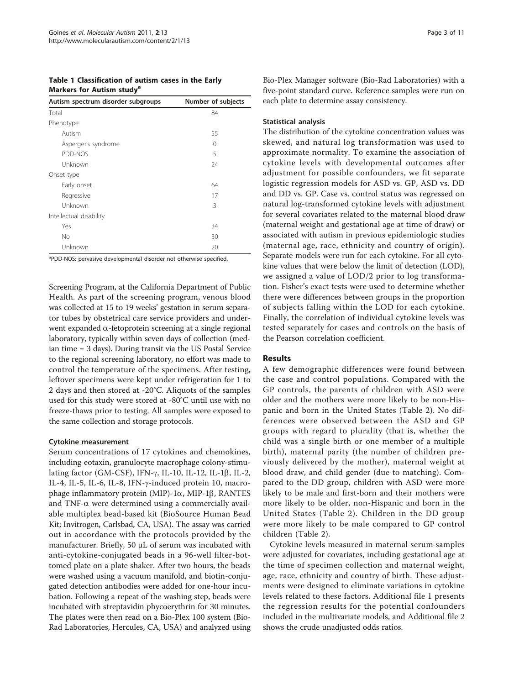<span id="page-2-0"></span>

| Table 1 Classification of autism cases in the Early |  |  |
|-----------------------------------------------------|--|--|
| Markers for Autism study <sup>a</sup>               |  |  |

| Autism spectrum disorder subgroups | Number of subjects |  |  |  |
|------------------------------------|--------------------|--|--|--|
| Total                              | 84                 |  |  |  |
| Phenotype                          |                    |  |  |  |
| Autism                             | 55                 |  |  |  |
| Asperger's syndrome                | 0                  |  |  |  |
| PDD-NOS                            | 5                  |  |  |  |
| Unknown                            | 24                 |  |  |  |
| Onset type                         |                    |  |  |  |
| Early onset                        | 64                 |  |  |  |
| Regressive                         | 17                 |  |  |  |
| Unknown                            | 3                  |  |  |  |
| Intellectual disability            |                    |  |  |  |
| Yes                                | 34                 |  |  |  |
| No                                 | 30                 |  |  |  |
| Unknown                            | 20                 |  |  |  |

<sup>a</sup>PDD-NOS: pervasive developmental disorder not otherwise specified.

Screening Program, at the California Department of Public Health. As part of the screening program, venous blood was collected at 15 to 19 weeks' gestation in serum separator tubes by obstetrical care service providers and underwent expanded  $\alpha$ -fetoprotein screening at a single regional laboratory, typically within seven days of collection (median time = 3 days). During transit via the US Postal Service to the regional screening laboratory, no effort was made to control the temperature of the specimens. After testing, leftover specimens were kept under refrigeration for 1 to 2 days and then stored at -20°C. Aliquots of the samples used for this study were stored at -80°C until use with no freeze-thaws prior to testing. All samples were exposed to the same collection and storage protocols.

# Cytokine measurement

Serum concentrations of 17 cytokines and chemokines, including eotaxin, granulocyte macrophage colony-stimulating factor (GM-CSF), IFN- $\gamma$ , IL-10, IL-12, IL-1 $\beta$ , IL-2, IL-4, IL-5, IL-6, IL-8, IFN- $\gamma$ -induced protein 10, macrophage inflammatory protein (MIP)- $1\alpha$ , MIP-1 $\beta$ , RANTES and TNF- $\alpha$  were determined using a commercially available multiplex bead-based kit (BioSource Human Bead Kit; Invitrogen, Carlsbad, CA, USA). The assay was carried out in accordance with the protocols provided by the manufacturer. Briefly, 50 μL of serum was incubated with anti-cytokine-conjugated beads in a 96-well filter-bottomed plate on a plate shaker. After two hours, the beads were washed using a vacuum manifold, and biotin-conjugated detection antibodies were added for one-hour incubation. Following a repeat of the washing step, beads were incubated with streptavidin phycoerythrin for 30 minutes. The plates were then read on a Bio-Plex 100 system (Bio-Rad Laboratories, Hercules, CA, USA) and analyzed using Bio-Plex Manager software (Bio-Rad Laboratories) with a five-point standard curve. Reference samples were run on each plate to determine assay consistency.

#### Statistical analysis

The distribution of the cytokine concentration values was skewed, and natural log transformation was used to approximate normality. To examine the association of cytokine levels with developmental outcomes after adjustment for possible confounders, we fit separate logistic regression models for ASD vs. GP, ASD vs. DD and DD vs. GP. Case vs. control status was regressed on natural log-transformed cytokine levels with adjustment for several covariates related to the maternal blood draw (maternal weight and gestational age at time of draw) or associated with autism in previous epidemiologic studies (maternal age, race, ethnicity and country of origin). Separate models were run for each cytokine. For all cytokine values that were below the limit of detection (LOD), we assigned a value of LOD/2 prior to log transformation. Fisher's exact tests were used to determine whether there were differences between groups in the proportion of subjects falling within the LOD for each cytokine. Finally, the correlation of individual cytokine levels was tested separately for cases and controls on the basis of the Pearson correlation coefficient.

# Results

A few demographic differences were found between the case and control populations. Compared with the GP controls, the parents of children with ASD were older and the mothers were more likely to be non-Hispanic and born in the United States (Table [2](#page-3-0)). No differences were observed between the ASD and GP groups with regard to plurality (that is, whether the child was a single birth or one member of a multiple birth), maternal parity (the number of children previously delivered by the mother), maternal weight at blood draw, and child gender (due to matching). Compared to the DD group, children with ASD were more likely to be male and first-born and their mothers were more likely to be older, non-Hispanic and born in the United States (Table [2\)](#page-3-0). Children in the DD group were more likely to be male compared to GP control children (Table [2](#page-3-0)).

Cytokine levels measured in maternal serum samples were adjusted for covariates, including gestational age at the time of specimen collection and maternal weight, age, race, ethnicity and country of birth. These adjustments were designed to eliminate variations in cytokine levels related to these factors. Additional file [1](#page-9-0) presents the regression results for the potential confounders included in the multivariate models, and Additional file [2](#page-9-0) shows the crude unadjusted odds ratios.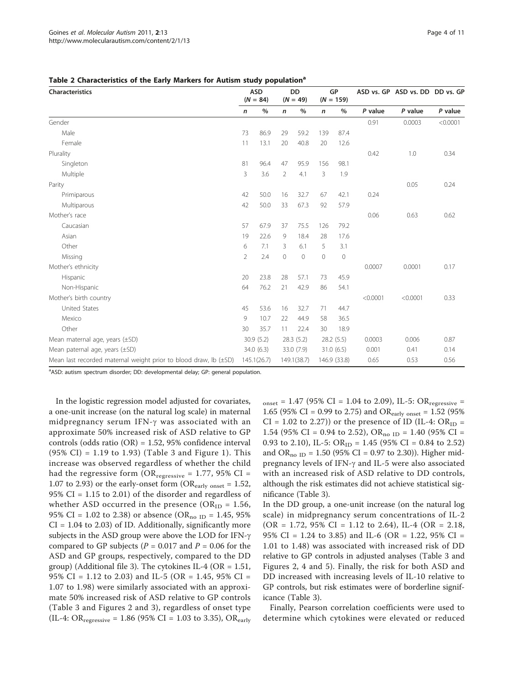<span id="page-3-0"></span>

| <b>Characteristics</b>                                                | <b>ASD</b><br>$(N = 84)$ |           | <b>DD</b><br>$(N = 49)$ |            | GP<br>$(N = 159)$ |           |          | ASD vs. GP ASD vs. DD DD vs. GP |           |
|-----------------------------------------------------------------------|--------------------------|-----------|-------------------------|------------|-------------------|-----------|----------|---------------------------------|-----------|
|                                                                       | $\mathsf{n}$             | $\%$      | n                       | $\%$       | n                 | $\%$      | P value  | P value                         | $P$ value |
| Gender                                                                |                          |           |                         |            |                   |           | 0.91     | 0.0003                          | < 0.0001  |
| Male                                                                  | 73                       | 86.9      | 29                      | 59.2       | 139               | 87.4      |          |                                 |           |
| Female                                                                | 11                       | 13.1      | 20                      | 40.8       | 20                | 12.6      |          |                                 |           |
| Plurality                                                             |                          |           |                         |            |                   |           | 0.42     | 1.0                             | 0.34      |
| Singleton                                                             | 81                       | 96.4      | 47                      | 95.9       | 156               | 98.1      |          |                                 |           |
| Multiple                                                              | 3                        | 3.6       | $\overline{2}$          | 4.1        | 3                 | 1.9       |          |                                 |           |
| Parity                                                                |                          |           |                         |            |                   |           |          | 0.05                            | 0.24      |
| Primiparous                                                           | 42                       | 50.0      | 16                      | 32.7       | 67                | 42.1      | 0.24     |                                 |           |
| Multiparous                                                           | 42                       | 50.0      | 33                      | 67.3       | 92                | 57.9      |          |                                 |           |
| Mother's race                                                         |                          |           |                         |            |                   |           | 0.06     | 0.63                            | 0.62      |
| Caucasian                                                             | 57                       | 67.9      | 37                      | 75.5       | 126               | 79.2      |          |                                 |           |
| Asian                                                                 | 19                       | 22.6      | 9                       | 18.4       | 28                | 17.6      |          |                                 |           |
| Other                                                                 | 6                        | 7.1       | 3                       | 6.1        | 5                 | 3.1       |          |                                 |           |
| Missing                                                               | $\overline{2}$           | 2.4       | $\circ$                 | $\circ$    | $\mathbf{0}$      | $\circ$   |          |                                 |           |
| Mother's ethnicity                                                    |                          |           |                         |            |                   |           | 0.0007   | 0.0001                          | 0.17      |
| Hispanic                                                              | 20                       | 23.8      | 28                      | 57.1       | 73                | 45.9      |          |                                 |           |
| Non-Hispanic                                                          | 64                       | 76.2      | 21                      | 42.9       | 86                | 54.1      |          |                                 |           |
| Mother's birth country                                                |                          |           |                         |            |                   |           | < 0.0001 | < 0.0001                        | 0.33      |
| United States                                                         | 45                       | 53.6      | 16                      | 32.7       | 71                | 44.7      |          |                                 |           |
| Mexico                                                                | 9                        | 10.7      | 22                      | 44.9       | 58                | 36.5      |          |                                 |           |
| Other                                                                 | 30                       | 35.7      | 11                      | 22.4       | 30                | 18.9      |          |                                 |           |
| Mean maternal age, years (±SD)                                        |                          | 30.9(5.2) |                         | 28.3(5.2)  |                   | 28.2(5.5) | 0.0003   | 0.006                           | 0.87      |
| Mean paternal age, years (±SD)                                        |                          | 34.0(6.3) |                         | 33.0 (7.9) |                   | 31.0(6.5) | 0.001    | 0.41                            | 0.14      |
| Mean last recorded maternal weight prior to blood draw, lb $(\pm SD)$ | 145.1(26.7)              |           | 149.1(38.7)             |            | 146.9 (33.8)      |           | 0.65     | 0.53                            | 0.56      |

<sup>a</sup>ASD: autism spectrum disorder; DD: developmental delay; GP: general population.

In the logistic regression model adjusted for covariates, a one-unit increase (on the natural log scale) in maternal midpregnancy serum IFN- $\gamma$  was associated with an approximate 50% increased risk of ASD relative to GP controls (odds ratio (OR) = 1.52, 95% confidence interval (95% CI) = 1.19 to 1.93) (Table [3](#page-4-0) and Figure [1](#page-5-0)). This increase was observed regardless of whether the child had the regressive form (OR $_{\rm regressive}$  = 1.77, 95% CI = 1.07 to 2.93) or the early-onset form  $(OR_{early \ onset} = 1.52,$ 95% CI = 1.15 to 2.01) of the disorder and regardless of whether ASD occurred in the presence ( $OR<sub>ID</sub> = 1.56$ , 95% CI = 1.02 to 2.38) or absence (OR<sub>no ID</sub> = 1.45, 95%  $CI = 1.04$  to 2.03) of ID. Additionally, significantly more subjects in the ASD group were above the LOD for IFN- $\gamma$ compared to GP subjects ( $P = 0.017$  and  $P = 0.06$  for the ASD and GP groups, respectively, compared to the DD group) (Additional file [3\)](#page-9-0). The cytokines IL-4 (OR = 1.51, 95% CI = 1.12 to 2.03) and IL-5 (OR = 1.45, 95% CI = 1.07 to 1.98) were similarly associated with an approximate 50% increased risk of ASD relative to GP controls (Table [3](#page-4-0) and Figures [2](#page-5-0) and [3](#page-6-0)), regardless of onset type (IL-4: OR<sub>regressive</sub> = 1.86 (95% CI = 1.03 to 3.35), OR<sub>early</sub> onset = 1.47 (95% CI = 1.04 to 2.09), IL-5: OR<sub>regressive</sub> = 1.65 (95% CI = 0.99 to 2.75) and OR<sub>early onset</sub> = 1.52 (95%) CI = 1.02 to 2.27)) or the presence of ID (IL-4:  $OR<sub>ID</sub>$  = 1.54 (95% CI = 0.94 to 2.52), OR<sub>no ID</sub> = 1.40 (95% CI = 0.93 to 2.10), IL-5:  $OR<sub>ID</sub> = 1.45$  (95% CI = 0.84 to 2.52) and OR<sub>no ID</sub> = 1.50 (95% CI = 0.97 to 2.30)). Higher midpregnancy levels of IFN-g and IL-5 were also associated with an increased risk of ASD relative to DD controls, although the risk estimates did not achieve statistical significance (Table [3](#page-4-0)).

In the DD group, a one-unit increase (on the natural log scale) in midpregnancy serum concentrations of IL-2  $(OR = 1.72, 95\% CI = 1.12$  to 2.64), IL-4  $(OR = 2.18,$ 95% CI = 1.24 to 3.85) and IL-6 (OR = 1.22, 95% CI = 1.01 to 1.48) was associated with increased risk of DD relative to GP controls in adjusted analyses (Table [3](#page-4-0) and Figures [2,](#page-5-0) [4](#page-6-0) and [5\)](#page-7-0). Finally, the risk for both ASD and DD increased with increasing levels of IL-10 relative to GP controls, but risk estimates were of borderline significance (Table [3\)](#page-4-0).

Finally, Pearson correlation coefficients were used to determine which cytokines were elevated or reduced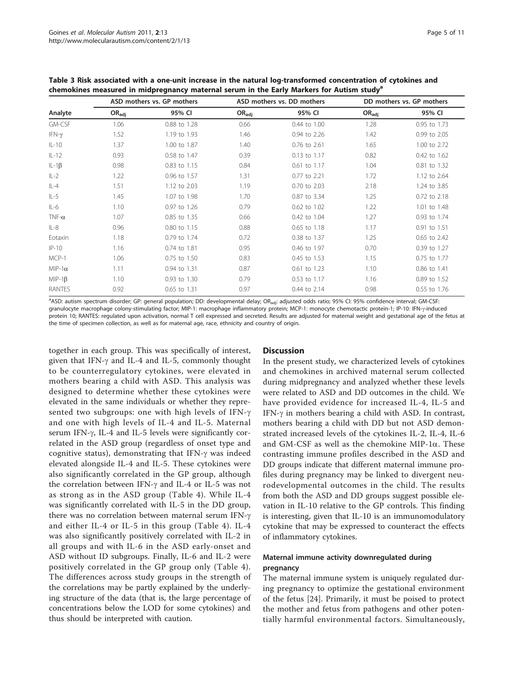|               |                   | ASD mothers vs. GP mothers |                   | ASD mothers vs. DD mothers | DD mothers vs. GP mothers |              |  |
|---------------|-------------------|----------------------------|-------------------|----------------------------|---------------------------|--------------|--|
| Analyte       | $OR_{\text{adi}}$ | 95% CI                     | $OR_{\text{adj}}$ | 95% CI                     | $OR_{\text{adj}}$         | 95% CI       |  |
| GM-CSF        | 1.06              | 0.88 to 1.28               | 0.66              | 0.44 to 1.00               | 1.28                      | 0.95 to 1.73 |  |
| $IFN-\gamma$  | 1.52              | 1.19 to 1.93               | 1.46              | 0.94 to 2.26               | 1.42                      | 0.99 to 2.05 |  |
| $IL-10$       | 1.37              | 1.00 to 1.87               | 1.40              | 0.76 to 2.61               | 1.65                      | 1.00 to 2.72 |  |
| $IL-12$       | 0.93              | 0.58 to 1.47               | 0.39              | 0.13 to 1.17               | 0.82                      | 0.42 to 1.62 |  |
| $IL-1\beta$   | 0.98              | 0.83 to 1.15               | 0.84              | 0.61 to 1.17               | 1.04                      | 0.81 to 1.32 |  |
| $IL-2$        | 1.22              | 0.96 to 1.57               | 1.31              | 0.77 to 2.21               | 1.72                      | 1.12 to 2.64 |  |
| $IL-4$        | 1.51              | 1.12 to 2.03               | 1.19              | 0.70 to 2.03               | 2.18                      | 1.24 to 3.85 |  |
| $IL-5$        | 1.45              | 1.07 to 1.98               | 1.70              | 0.87 to 3.34               | 1.25                      | 0.72 to 2.18 |  |
| $IL-6$        | 1.10              | 0.97 to 1.26               | 0.79              | 0.62 to 1.02               | 1.22                      | 1.01 to 1.48 |  |
| $TNF-\alpha$  | 1.07              | 0.85 to 1.35               | 0.66              | 0.42 to 1.04               | 1.27                      | 0.93 to 1.74 |  |
| $IL-8$        | 0.96              | 0.80 to 1.15               | 0.88              | 0.65 to 1.18               | 1.17                      | 0.91 to 1.51 |  |
| Eotaxin       | 1.18              | 0.79 to 1.74               | 0.72              | 0.38 to 1.37               | 1.25                      | 0.65 to 2.42 |  |
| $IP-10$       | 1.16              | 0.74 to 1.81               | 0.95              | 0.46 to 1.97               | 0.70                      | 0.39 to 1.27 |  |
| MCP-1         | 1.06              | 0.75 to 1.50               | 0.83              | 0.45 to 1.53               | 1.15                      | 0.75 to 1.77 |  |
| $MIP-1\alpha$ | 1.11              | 0.94 to 1.31               | 0.87              | 0.61 to 1.23               | 1.10                      | 0.86 to 1.41 |  |
| $MIP-1\beta$  | 1.10              | 0.93 to 1.30               | 0.79              | 0.53 to 1.17               | 1.16                      | 0.89 to 1.52 |  |
| RANTES        | 0.92              | 0.65 to 1.31               | 0.97              | 0.44 to 2.14               | 0.98                      | 0.55 to 1.76 |  |

<span id="page-4-0"></span>Table 3 Risk associated with a one-unit increase in the natural log-transformed concentration of cytokines and chemokines measured in midpregnancy maternal serum in the Early Markers for Autism study<sup>a</sup>

a<br>ASD: autism spectrum disorder; GP: general population; DD: developmental delay; OR<sub>adj</sub>: adjusted odds ratio; 95% CI: 95% confidence interval; GM-CSF: granulocyte macrophage colony-stimulating factor; MIP-1: macrophage inflammatory protein; MCP-1: monocyte chemotactic protein-1; IP-10: IFN-y-induced protein 10; RANTES: regulated upon activation, normal T cell expressed and secreted. Results are adjusted for maternal weight and gestational age of the fetus at the time of specimen collection, as well as for maternal age, race, ethnicity and country of origin.

together in each group. This was specifically of interest, given that IFN- $\gamma$  and IL-4 and IL-5, commonly thought to be counterregulatory cytokines, were elevated in mothers bearing a child with ASD. This analysis was designed to determine whether these cytokines were elevated in the same individuals or whether they represented two subgroups: one with high levels of IFN-g and one with high levels of IL-4 and IL-5. Maternal serum IFN- $\gamma$ , IL-4 and IL-5 levels were significantly correlated in the ASD group (regardless of onset type and cognitive status), demonstrating that IFN- $\gamma$  was indeed elevated alongside IL-4 and IL-5. These cytokines were also significantly correlated in the GP group, although the correlation between IFN- $\gamma$  and IL-4 or IL-5 was not as strong as in the ASD group (Table [4\)](#page-8-0). While IL-4 was significantly correlated with IL-5 in the DD group, there was no correlation between maternal serum IFN-g and either IL-4 or IL-5 in this group (Table [4\)](#page-8-0). IL-4 was also significantly positively correlated with IL-2 in all groups and with IL-6 in the ASD early-onset and ASD without ID subgroups. Finally, IL-6 and IL-2 were positively correlated in the GP group only (Table [4\)](#page-8-0). The differences across study groups in the strength of the correlations may be partly explained by the underlying structure of the data (that is, the large percentage of concentrations below the LOD for some cytokines) and thus should be interpreted with caution.

# **Discussion**

In the present study, we characterized levels of cytokines and chemokines in archived maternal serum collected during midpregnancy and analyzed whether these levels were related to ASD and DD outcomes in the child. We have provided evidence for increased IL-4, IL-5 and IFN- $\gamma$  in mothers bearing a child with ASD. In contrast, mothers bearing a child with DD but not ASD demonstrated increased levels of the cytokines IL-2, IL-4, IL-6 and GM-CSF as well as the chemokine MIP-1 $\alpha$ . These contrasting immune profiles described in the ASD and DD groups indicate that different maternal immune profiles during pregnancy may be linked to divergent neurodevelopmental outcomes in the child. The results from both the ASD and DD groups suggest possible elevation in IL-10 relative to the GP controls. This finding is interesting, given that IL-10 is an immunomodulatory cytokine that may be expressed to counteract the effects of inflammatory cytokines.

# Maternal immune activity downregulated during pregnancy

The maternal immune system is uniquely regulated during pregnancy to optimize the gestational environment of the fetus [[24\]](#page-10-0). Primarily, it must be poised to protect the mother and fetus from pathogens and other potentially harmful environmental factors. Simultaneously,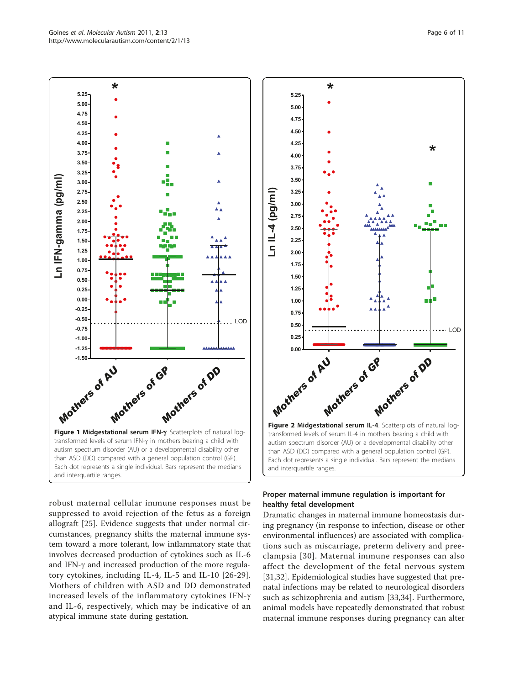robust maternal cellular immune responses must be suppressed to avoid rejection of the fetus as a foreign allograft [[25\]](#page-10-0). Evidence suggests that under normal circumstances, pregnancy shifts the maternal immune system toward a more tolerant, low inflammatory state that

involves decreased production of cytokines such as IL-6 and IFN- $\gamma$  and increased production of the more regulatory cytokines, including IL-4, IL-5 and IL-10 [[26](#page-10-0)-[29\]](#page-10-0). Mothers of children with ASD and DD demonstrated increased levels of the inflammatory cytokines IFN-g and IL-6, respectively, which may be indicative of an atypical immune state during gestation.

**Mothers of AU Mothers of GP Mothers** of DD **0.00 0.25** Figure 2 Midgestational serum IL-4. Scatterplots of natural logtransformed levels of serum IL-4 in mothers bearing a child with autism spectrum disorder (AU) or a developmental disability other than ASD (DD) compared with a general population control (GP). Each dot represents a single individual. Bars represent the medians and interquartile ranges.

**0.50 0.75 1.00 1.25 1.50 1.75 2.00 2.25 2.50 2.75 3.00 3.25 3.50 3.75 4.00 4.25 4.50 4.75 5.00 5.25** **\***

**Ln IL-4 (pg/ml)**

|m/6d) <del>|</del> 11 u−

# Proper maternal immune regulation is important for healthy fetal development

Dramatic changes in maternal immune homeostasis during pregnancy (in response to infection, disease or other environmental influences) are associated with complications such as miscarriage, preterm delivery and preeclampsia [[30\]](#page-10-0). Maternal immune responses can also affect the development of the fetal nervous system [[31,32\]](#page-10-0). Epidemiological studies have suggested that prenatal infections may be related to neurological disorders such as schizophrenia and autism [[33,34](#page-10-0)]. Furthermore, animal models have repeatedly demonstrated that robust maternal immune responses during pregnancy can alter

<span id="page-5-0"></span>

**\***

LOD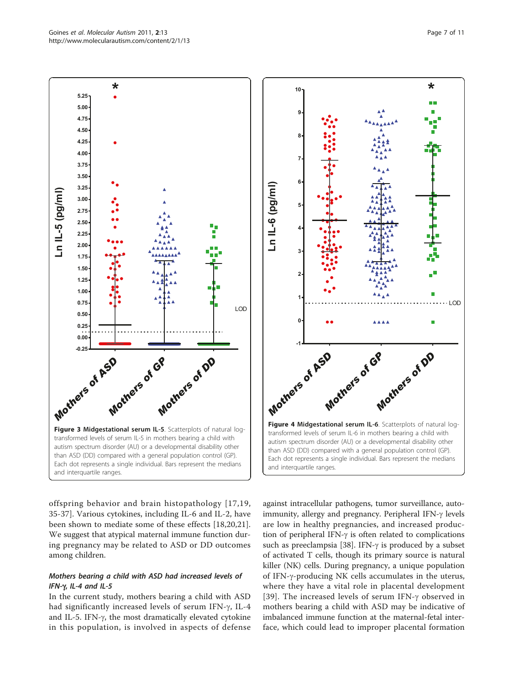offspring behavior and brain histopathology [[17](#page-9-0),[19](#page-10-0), [35-37](#page-10-0)]. Various cytokines, including IL-6 and IL-2, have been shown to mediate some of these effects [\[18](#page-10-0),[20,21](#page-10-0)]. We suggest that atypical maternal immune function during pregnancy may be related to ASD or DD outcomes among children.

# Mothers bearing a child with ASD had increased levels of IFN-g, IL-4 and IL-5

In the current study, mothers bearing a child with ASD had significantly increased levels of serum IFN- $\gamma$ , IL-4 and IL-5. IFN- $\gamma$ , the most dramatically elevated cytokine in this population, is involved in aspects of defense

against intracellular pathogens, tumor surveillance, autoimmunity, allergy and pregnancy. Peripheral IFN- $\gamma$  levels are low in healthy pregnancies, and increased production of peripheral IFN- $\gamma$  is often related to complications such as preeclampsia [\[38\]](#page-10-0). IFN- $\gamma$  is produced by a subset of activated T cells, though its primary source is natural killer (NK) cells. During pregnancy, a unique population and interquartile ranges.

**Mothers of GP** 

Figure 4 Midgestational serum IL-6. Scatterplots of natural logtransformed levels of serum IL-6 in mothers bearing a child with autism spectrum disorder (AU) or a developmental disability other than ASD (DD) compared with a general population control (GP). Each dot represents a single individual. Bars represent the medians

**Mothers** of DD

**AAAA** 

of IFN-g-producing NK cells accumulates in the uterus, where they have a vital role in placental development [[39](#page-10-0)]. The increased levels of serum IFN-g observed in mothers bearing a child with ASD may be indicative of

imbalanced immune function at the maternal-fetal interface, which could lead to improper placental formation





**Mothers** of ASD

**-1**

**0**

**1**

**2**

**3**

**\***

LOD

<span id="page-6-0"></span>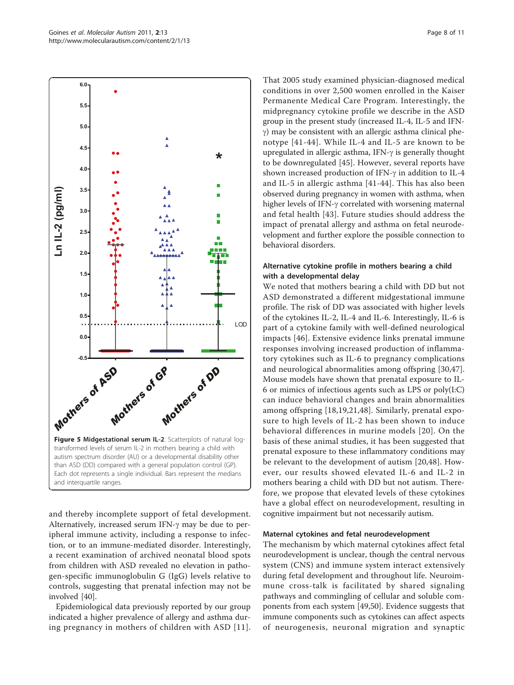<span id="page-7-0"></span>

and thereby incomplete support of fetal development. Alternatively, increased serum IFN- $\gamma$  may be due to peripheral immune activity, including a response to infection, or to an immune-mediated disorder. Interestingly, a recent examination of archived neonatal blood spots from children with ASD revealed no elevation in pathogen-specific immunoglobulin G (IgG) levels relative to controls, suggesting that prenatal infection may not be involved [\[40\]](#page-10-0).

Epidemiological data previously reported by our group indicated a higher prevalence of allergy and asthma during pregnancy in mothers of children with ASD [[11\]](#page-9-0).

That 2005 study examined physician-diagnosed medical conditions in over 2,500 women enrolled in the Kaiser Permanente Medical Care Program. Interestingly, the midpregnancy cytokine profile we describe in the ASD group in the present study (increased IL-4, IL-5 and IFN- $\gamma$ ) may be consistent with an allergic asthma clinical phenotype [[41-44](#page-10-0)]. While IL-4 and IL-5 are known to be upregulated in allergic asthma, IFN- $\gamma$  is generally thought to be downregulated [[45\]](#page-10-0). However, several reports have shown increased production of IFN- $\gamma$  in addition to IL-4 and IL-5 in allergic asthma [[41](#page-10-0)-[44](#page-10-0)]. This has also been observed during pregnancy in women with asthma, when higher levels of IFN- $\gamma$  correlated with worsening maternal and fetal health [[43](#page-10-0)]. Future studies should address the impact of prenatal allergy and asthma on fetal neurodevelopment and further explore the possible connection to behavioral disorders.

# Alternative cytokine profile in mothers bearing a child with a developmental delay

We noted that mothers bearing a child with DD but not ASD demonstrated a different midgestational immune profile. The risk of DD was associated with higher levels of the cytokines IL-2, IL-4 and IL-6. Interestingly, IL-6 is part of a cytokine family with well-defined neurological impacts [[46\]](#page-10-0). Extensive evidence links prenatal immune responses involving increased production of inflammatory cytokines such as IL-6 to pregnancy complications and neurological abnormalities among offspring [[30,47](#page-10-0)]. Mouse models have shown that prenatal exposure to IL-6 or mimics of infectious agents such as LPS or poly(I:C) can induce behavioral changes and brain abnormalities among offspring [[18,19,21,48\]](#page-10-0). Similarly, prenatal exposure to high levels of IL-2 has been shown to induce behavioral differences in murine models [[20](#page-10-0)]. On the basis of these animal studies, it has been suggested that prenatal exposure to these inflammatory conditions may be relevant to the development of autism [[20](#page-10-0),[48\]](#page-10-0). However, our results showed elevated IL-6 and IL-2 in mothers bearing a child with DD but not autism. Therefore, we propose that elevated levels of these cytokines have a global effect on neurodevelopment, resulting in cognitive impairment but not necessarily autism.

# Maternal cytokines and fetal neurodevelopment

The mechanism by which maternal cytokines affect fetal neurodevelopment is unclear, though the central nervous system (CNS) and immune system interact extensively during fetal development and throughout life. Neuroimmune cross-talk is facilitated by shared signaling pathways and commingling of cellular and soluble components from each system [\[49,50](#page-10-0)]. Evidence suggests that immune components such as cytokines can affect aspects of neurogenesis, neuronal migration and synaptic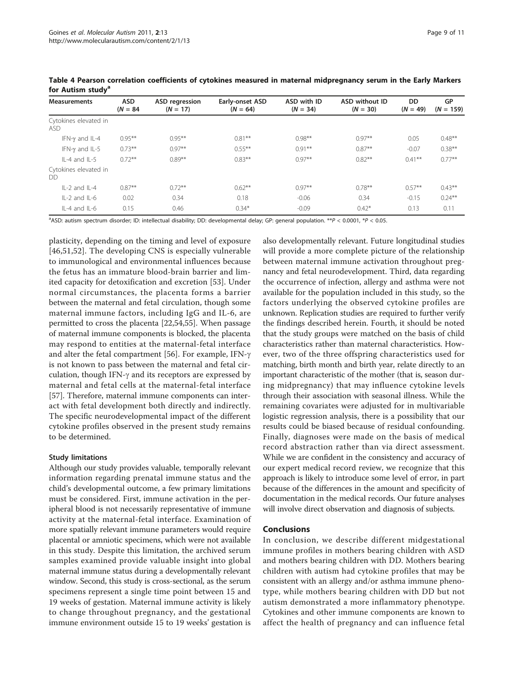| <b>Measurements</b>          | <b>ASD</b><br>$(N = 84)$ | ASD regression<br>$(N = 17)$ | <b>Early-onset ASD</b><br>$(N = 64)$ | ASD with ID<br>$(N = 34)$ | <b>ASD without ID</b><br>$(N = 30)$ | DD<br>$(N = 49)$ | GP<br>$(N = 159)$ |
|------------------------------|--------------------------|------------------------------|--------------------------------------|---------------------------|-------------------------------------|------------------|-------------------|
| Cytokines elevated in<br>ASD |                          |                              |                                      |                           |                                     |                  |                   |
| IFN- $\gamma$ and IL-4       | $0.95***$                | $0.95***$                    | $0.81***$                            | $0.98***$                 | $0.97**$                            | 0.05             | $0.48***$         |
| IFN- $\gamma$ and IL-5       | $0.73***$                | $0.97**$                     | $0.55***$                            | $0.91***$                 | $0.87**$                            | $-0.07$          | $0.38***$         |
| $II -4$ and $IL -5$          | $0.72***$                | $0.89***$                    | $0.83***$                            | $0.97**$                  | $0.82***$                           | $0.41***$        | $0.77***$         |
| Cytokines elevated in<br>DD. |                          |                              |                                      |                           |                                     |                  |                   |
| $   -2$ and $   -4$          | $0.87**$                 | $0.72***$                    | $0.62***$                            | $0.97**$                  | $0.78***$                           | $0.57***$        | $0.43***$         |
| $   -2$ and $   -6$          | 0.02                     | 0.34                         | 0.18                                 | $-0.06$                   | 0.34                                | $-0.15$          | $0.24***$         |
| $   -4$ and $   -6$          | 0.15                     | 0.46                         | $0.34*$                              | $-0.09$                   | $0.42*$                             | 0.13             | 0.11              |

<span id="page-8-0"></span>Table 4 Pearson correlation coefficients of cytokines measured in maternal midpregnancy serum in the Early Markers for Autism study<sup>a</sup>

a ASD: autism spectrum disorder; ID: intellectual disability; DD: developmental delay; GP: general population. \*\*P < 0.0001, \*P < 0.05.

plasticity, depending on the timing and level of exposure [[46,51,52\]](#page-10-0). The developing CNS is especially vulnerable to immunological and environmental influences because the fetus has an immature blood-brain barrier and limited capacity for detoxification and excretion [[53](#page-10-0)]. Under normal circumstances, the placenta forms a barrier between the maternal and fetal circulation, though some maternal immune factors, including IgG and IL-6, are permitted to cross the placenta [[22,54,55\]](#page-10-0). When passage of maternal immune components is blocked, the placenta may respond to entities at the maternal-fetal interface and alter the fetal compartment [\[56](#page-10-0)]. For example, IFN- $\gamma$ is not known to pass between the maternal and fetal circulation, though IFN- $\gamma$  and its receptors are expressed by maternal and fetal cells at the maternal-fetal interface [[57\]](#page-10-0). Therefore, maternal immune components can interact with fetal development both directly and indirectly. The specific neurodevelopmental impact of the different cytokine profiles observed in the present study remains to be determined.

#### Study limitations

Although our study provides valuable, temporally relevant information regarding prenatal immune status and the child's developmental outcome, a few primary limitations must be considered. First, immune activation in the peripheral blood is not necessarily representative of immune activity at the maternal-fetal interface. Examination of more spatially relevant immune parameters would require placental or amniotic specimens, which were not available in this study. Despite this limitation, the archived serum samples examined provide valuable insight into global maternal immune status during a developmentally relevant window. Second, this study is cross-sectional, as the serum specimens represent a single time point between 15 and 19 weeks of gestation. Maternal immune activity is likely to change throughout pregnancy, and the gestational immune environment outside 15 to 19 weeks' gestation is

also developmentally relevant. Future longitudinal studies will provide a more complete picture of the relationship between maternal immune activation throughout pregnancy and fetal neurodevelopment. Third, data regarding the occurrence of infection, allergy and asthma were not available for the population included in this study, so the factors underlying the observed cytokine profiles are unknown. Replication studies are required to further verify the findings described herein. Fourth, it should be noted that the study groups were matched on the basis of child characteristics rather than maternal characteristics. However, two of the three offspring characteristics used for matching, birth month and birth year, relate directly to an important characteristic of the mother (that is, season during midpregnancy) that may influence cytokine levels through their association with seasonal illness. While the remaining covariates were adjusted for in multivariable logistic regression analysis, there is a possibility that our results could be biased because of residual confounding. Finally, diagnoses were made on the basis of medical record abstraction rather than via direct assessment. While we are confident in the consistency and accuracy of our expert medical record review, we recognize that this approach is likely to introduce some level of error, in part because of the differences in the amount and specificity of documentation in the medical records. Our future analyses will involve direct observation and diagnosis of subjects.

# Conclusions

In conclusion, we describe different midgestational immune profiles in mothers bearing children with ASD and mothers bearing children with DD. Mothers bearing children with autism had cytokine profiles that may be consistent with an allergy and/or asthma immune phenotype, while mothers bearing children with DD but not autism demonstrated a more inflammatory phenotype. Cytokines and other immune components are known to affect the health of pregnancy and can influence fetal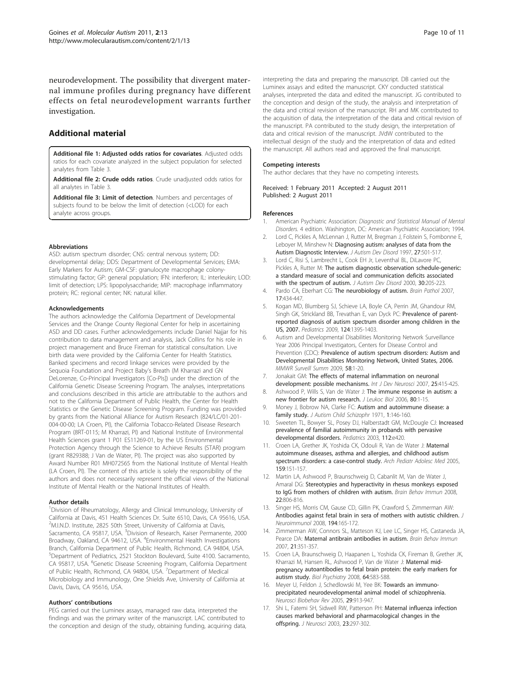<span id="page-9-0"></span>neurodevelopment. The possibility that divergent maternal immune profiles during pregnancy have different effects on fetal neurodevelopment warrants further investigation.

# Additional material

[Additional file 1: A](http://www.biomedcentral.com/content/supplementary/2040-2392-2-13-S1.DOC)djusted odds ratios for covariates. Adjusted odds ratios for each covariate analyzed in the subject population for selected analytes from Table 3.

[Additional file 2: C](http://www.biomedcentral.com/content/supplementary/2040-2392-2-13-S2.DOC)rude odds ratios. Crude unadjusted odds ratios for all analytes in Table 3.

[Additional file 3: L](http://www.biomedcentral.com/content/supplementary/2040-2392-2-13-S3.DOC)imit of detection. Numbers and percentages of subjects found to be below the limit of detection (<LOD) for each analyte across groups.

#### Abbreviations

ASD: autism spectrum disorder; CNS: central nervous system; DD: developmental delay; DDS: Department of Developmental Services; EMA: Early Markers for Autism; GM-CSF: granulocyte macrophage colonystimulating factor; GP: general population; IFN: interferon; IL: interleukin; LOD: limit of detection; LPS: lipopolysaccharide; MIP: macrophage inflammatory protein; RC: regional center; NK: natural killer.

#### Acknowledgements

The authors acknowledge the California Department of Developmental Services and the Orange County Regional Center for help in ascertaining ASD and DD cases. Further acknowledgements include Daniel Najjar for his contribution to data management and analysis, Jack Collins for his role in project management and Bruce Fireman for statistical consultation. Live birth data were provided by the California Center for Health Statistics. Banked specimens and record linkage services were provided by the Sequoia Foundation and Project Baby's Breath (M Kharrazi and GN DeLorenze, Co-Principal Investigators [Co-PIs]) under the direction of the California Genetic Disease Screening Program. The analyses, interpretations and conclusions described in this article are attributable to the authors and not to the California Department of Public Health, the Center for Health Statistics or the Genetic Disease Screening Program. Funding was provided by grants from the National Alliance for Autism Research (824/LC/01-201- 004-00-00; LA Croen, PI), the California Tobacco-Related Disease Research Program (8RT-0115; M Kharrazi, PI) and National Institute of Environmental Health Sciences grant 1 P01 ES11269-01, by the US Environmental Protection Agency through the Science to Achieve Results (STAR) program (grant R829388; J Van de Water, PI). The project was also supported by Award Number R01 MH072565 from the National Institute of Mental Health (LA Croen, PI). The content of this article is solely the responsibility of the authors and does not necessarily represent the official views of the National Institute of Mental Health or the National Institutes of Health.

#### Author details

<sup>1</sup>Division of Rheumatology, Allergy and Clinical Immunology, University of California at Davis, 451 Health Sciences Dr. Suite 6510, Davis, CA 95616, USA. <sup>2</sup>M.I.N.D. Institute, 2825 50th Street, University of California at Davis, Sacramento, CA 95817, USA. <sup>3</sup>Division of Research, Kaiser Permanente, 2000 Broadway, Oakland, CA 94612, USA. <sup>4</sup>Environmental Health Investigations Branch, California Department of Public Health, Richmond, CA 94804, USA. 5 Department of Pediatrics, 2521 Stockton Boulevard, Suite 4100. Sacramento, CA 95817, USA. <sup>6</sup>Genetic Disease Screening Program, California Department of Public Health, Richmond, CA 94804, USA. <sup>7</sup>Department of Medical Microbiology and Immunology, One Shields Ave, University of California at Davis, Davis, CA 95616, USA.

#### Authors' contributions

PEG carried out the Luminex assays, managed raw data, interpreted the findings and was the primary writer of the manuscript. LAC contributed to the conception and design of the study, obtaining funding, acquiring data,

interpreting the data and preparing the manuscript. DB carried out the Luminex assays and edited the manuscript. CKY conducted statistical analyses, interpreted the data and edited the manuscript. JG contributed to the conception and design of the study, the analysis and interpretation of the data and critical revision of the manuscript. RH and MK contributed to the acquisition of data, the interpretation of the data and critical revision of the manuscript. PA contributed to the study design, the interpretation of data and critical revision of the manuscript. JVdW contributed to the intellectual design of the study and the interpretation of data and edited the manuscript. All authors read and approved the final manuscript.

#### Competing interests

The author declares that they have no competing interests.

Received: 1 February 2011 Accepted: 2 August 2011 Published: 2 August 2011

#### References

- 1. American Psychiatric Association: Diagnostic and Statistical Manual of Mental Disorders. 4 edition. Washington, DC: American Psychiatric Association; 1994.
- 2. Lord C, Pickles A, McLennan J, Rutter M, Bregman J, Folstein S, Fombonne E, Leboyer M, Minshew N: [Diagnosing autism: analyses of data from the](http://www.ncbi.nlm.nih.gov/pubmed/9403369?dopt=Abstract) [Autism Diagnostic Interview.](http://www.ncbi.nlm.nih.gov/pubmed/9403369?dopt=Abstract) J Autism Dev Disord 1997, 27:501-517.
- 3. Lord C, Risi S, Lambrecht L, Cook EH Jr, Leventhal BL, DiLavore PC, Pickles A, Rutter M: [The autism diagnostic observation schedule-generic:](http://www.ncbi.nlm.nih.gov/pubmed/11055457?dopt=Abstract) [a standard measure of social and communication deficits associated](http://www.ncbi.nlm.nih.gov/pubmed/11055457?dopt=Abstract) [with the spectrum of autism.](http://www.ncbi.nlm.nih.gov/pubmed/11055457?dopt=Abstract) J Autism Dev Disord 2000, 30:205-223.
- 4. Pardo CA, Eberhart CG: [The neurobiology of autism.](http://www.ncbi.nlm.nih.gov/pubmed/17919129?dopt=Abstract) Brain Pathol 2007, 17:434-447.
- 5. Kogan MD, Blumberg SJ, Schieve LA, Boyle CA, Perrin JM, Ghandour RM, Singh GK, Strickland BB, Trevathan E, van Dyck PC: [Prevalence of parent](http://www.ncbi.nlm.nih.gov/pubmed/19805460?dopt=Abstract)[reported diagnosis of autism spectrum disorder among children in the](http://www.ncbi.nlm.nih.gov/pubmed/19805460?dopt=Abstract) [US, 2007.](http://www.ncbi.nlm.nih.gov/pubmed/19805460?dopt=Abstract) Pediatrics 2009, 124:1395-1403.
- 6. Autism and Developmental Disabilities Monitoring Network Surveillance Year 2006 Principal Investigators, Centers for Disease Control and Prevention (CDC): [Prevalence of autism spectrum disorders: Autism and](http://www.ncbi.nlm.nih.gov/pubmed/20023608?dopt=Abstract) [Developmental Disabilities Monitoring Network, United States, 2006.](http://www.ncbi.nlm.nih.gov/pubmed/20023608?dopt=Abstract) MMWR Surveill Summ 2009, 58:1-20.
- 7. Jonakait GM: [The effects of maternal inflammation on neuronal](http://www.ncbi.nlm.nih.gov/pubmed/17949937?dopt=Abstract) [development: possible mechanisms.](http://www.ncbi.nlm.nih.gov/pubmed/17949937?dopt=Abstract) Int J Dev Neurosci 2007, 25:415-425.
- 8. Ashwood P, Wills S, Van de Water J: [The immune response in autism: a](http://www.ncbi.nlm.nih.gov/pubmed/16698940?dopt=Abstract) [new frontier for autism research.](http://www.ncbi.nlm.nih.gov/pubmed/16698940?dopt=Abstract) J Leukoc Biol 2006, 80:1-15
- 9. Money J, Bobrow NA, Clarke FC: [Autism and autoimmune disease: a](http://www.ncbi.nlm.nih.gov/pubmed/5172389?dopt=Abstract) [family study.](http://www.ncbi.nlm.nih.gov/pubmed/5172389?dopt=Abstract) J Autism Child Schizophr 1971, 1:146-160.
- 10. Sweeten TL, Bowyer SL, Posey DJ, Halberstadt GM, McDougle CJ: [Increased](http://www.ncbi.nlm.nih.gov/pubmed/14595086?dopt=Abstract) [prevalence of familial autoimmunity in probands with pervasive](http://www.ncbi.nlm.nih.gov/pubmed/14595086?dopt=Abstract) [developmental disorders.](http://www.ncbi.nlm.nih.gov/pubmed/14595086?dopt=Abstract) Pediatrics 2003, 112:e420.
- 11. Croen LA, Grether JK, Yoshida CK, Odouli R, Van de Water J: [Maternal](http://www.ncbi.nlm.nih.gov/pubmed/15699309?dopt=Abstract) [autoimmune diseases, asthma and allergies, and childhood autism](http://www.ncbi.nlm.nih.gov/pubmed/15699309?dopt=Abstract) [spectrum disorders: a case-control study.](http://www.ncbi.nlm.nih.gov/pubmed/15699309?dopt=Abstract) Arch Pediatr Adolesc Med 2005, 159:151-157.
- 12. Martin LA, Ashwood P, Braunschweig D, Cabanlit M, Van de Water J, Amaral DG: [Stereotypies and hyperactivity in rhesus monkeys exposed](http://www.ncbi.nlm.nih.gov/pubmed/18262386?dopt=Abstract) [to IgG from mothers of children with autism.](http://www.ncbi.nlm.nih.gov/pubmed/18262386?dopt=Abstract) Brain Behav Immun 2008, 22:806-816.
- 13. Singer HS, Morris CM, Gause CD, Gillin PK, Crawford S, Zimmerman AW: [Antibodies against fetal brain in sera of mothers with autistic children.](http://www.ncbi.nlm.nih.gov/pubmed/18093664?dopt=Abstract) J Neuroimmunol 2008, 194:165-172.
- 14. Zimmerman AW, Connors SL, Matteson KJ, Lee LC, Singer HS, Castaneda JA, Pearce DA: [Maternal antibrain antibodies in autism.](http://www.ncbi.nlm.nih.gov/pubmed/17029701?dopt=Abstract) Brain Behav Immun 2007, 21:351-357.
- 15. Croen LA, Braunschweig D, Haapanen L, Yoshida CK, Fireman B, Grether JK, Kharrazi M, Hansen RL, Ashwood P, Van de Water J: [Maternal mid](http://www.ncbi.nlm.nih.gov/pubmed/18571628?dopt=Abstract)pregnancy [autoantibodies to fetal brain protein: the early markers for](http://www.ncbi.nlm.nih.gov/pubmed/18571628?dopt=Abstract) [autism study.](http://www.ncbi.nlm.nih.gov/pubmed/18571628?dopt=Abstract) Biol Psychiatry 2008, 64:583-588.
- 16. Meyer U, Feldon J, Schedlowski M, Yee BK: [Towards an immuno](http://www.ncbi.nlm.nih.gov/pubmed/15964075?dopt=Abstract)[precipitated neurodevelopmental animal model of schizophrenia.](http://www.ncbi.nlm.nih.gov/pubmed/15964075?dopt=Abstract) Neurosci Biobehav Rev 2005, 29:913-947.
- 17. Shi L, Fatemi SH, Sidwell RW, Patterson PH: [Maternal influenza infection](http://www.ncbi.nlm.nih.gov/pubmed/12514227?dopt=Abstract) [causes marked behavioral and pharmacological changes in the](http://www.ncbi.nlm.nih.gov/pubmed/12514227?dopt=Abstract) [offspring.](http://www.ncbi.nlm.nih.gov/pubmed/12514227?dopt=Abstract) J Neurosci 2003, 23:297-302.